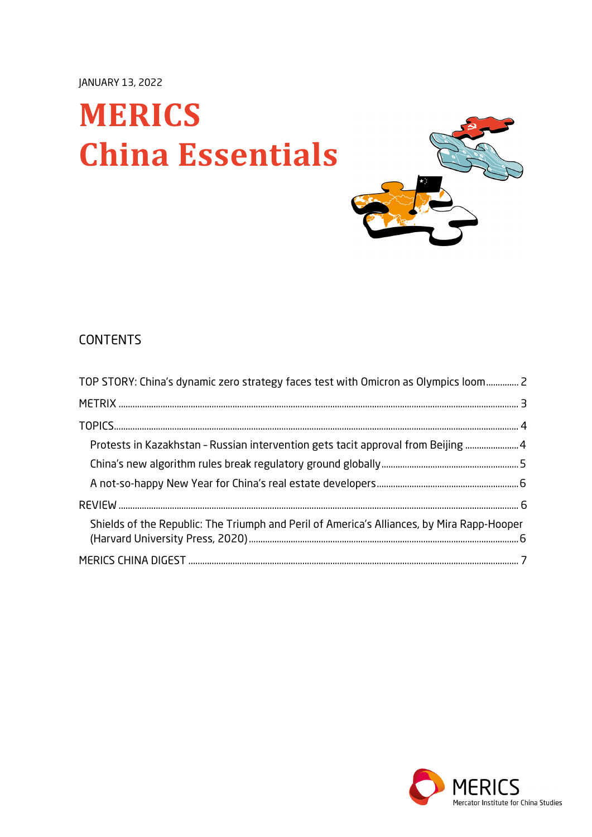# **MERICS China Essentials**



# **CONTENTS**

| TOP STORY: China's dynamic zero strategy faces test with Omicron as Olympics loom 2        |  |
|--------------------------------------------------------------------------------------------|--|
|                                                                                            |  |
|                                                                                            |  |
| Protests in Kazakhstan - Russian intervention gets tacit approval from Beijing  4          |  |
|                                                                                            |  |
|                                                                                            |  |
|                                                                                            |  |
| Shields of the Republic: The Triumph and Peril of America's Alliances, by Mira Rapp-Hooper |  |
|                                                                                            |  |

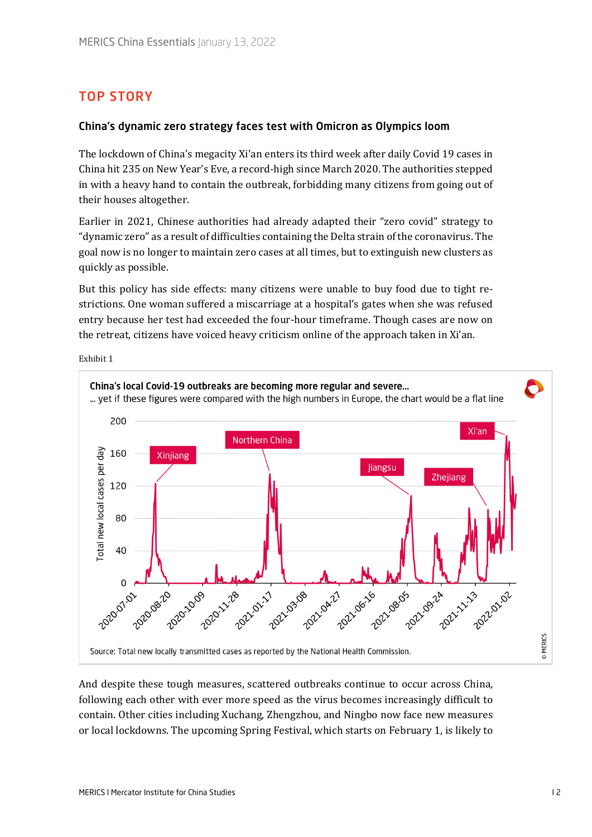# <span id="page-1-0"></span>TOP STORY

#### China's dynamic zero strategy faces test with Omicron as Olympics loom

The lockdown of China's megacity Xi'an enters its third week after daily Covid 19 cases in China hit 235 on New Year's Eve, a record-high since March 2020. The authorities stepped in with a heavy hand to contain the outbreak, forbidding many citizens from going out of their houses altogether.

Earlier in 2021, Chinese authorities had already adapted their "zero covid" strategy to "dynamic zero" as a result of difficulties containing the Delta strain of the coronavirus. The goal now is no longer to maintain zero cases at all times, but to extinguish new clusters as quickly as possible.

But this policy has side effects: many citizens were unable to buy food due to tight restrictions. One woman suffered a miscarriage at a hospital's gates when she was refused entry because her test had exceeded the four-hour timeframe. Though cases are now on the retreat, citizens have voiced heavy criticism online of the approach taken in Xi'an.

Exhibit 1



And despite these tough measures, scattered outbreaks continue to occur across China, following each other with ever more speed as the virus becomes increasingly difficult to contain. Other cities including Xuchang, Zhengzhou, and Ningbo now face new measures or local lockdowns. The upcoming Spring Festival, which starts on February 1, is likely to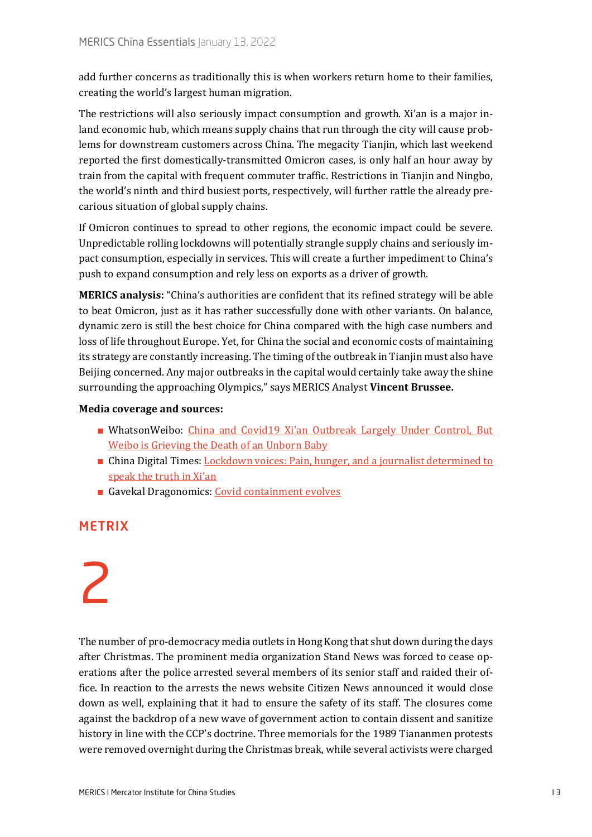add further concerns as traditionally this is when workers return home to their families, creating the world's largest human migration.

The restrictions will also seriously impact consumption and growth. Xi'an is a major inland economic hub, which means supply chains that run through the city will cause problems for downstream customers across China. The megacity Tianjin, which last weekend reported the first domestically-transmitted Omicron cases, is only half an hour away by train from the capital with frequent commuter traffic. Restrictions in Tianjin and Ningbo, the world's ninth and third busiest ports, respectively, will further rattle the already precarious situation of global supply chains.

If Omicron continues to spread to other regions, the economic impact could be severe. Unpredictable rolling lockdowns will potentially strangle supply chains and seriously impact consumption, especially in services. This will create a further impediment to China's push to expand consumption and rely less on exports as a driver of growth.

**MERICS analysis:** "China's authorities are confident that its refined strategy will be able to beat Omicron, just as it has rather successfully done with other variants. On balance, dynamic zero is still the best choice for China compared with the high case numbers and loss of life throughout Europe. Yet, for China the social and economic costs of maintaining its strategy are constantly increasing. The timing of the outbreak in Tianjin must also have Beijing concerned. Any major outbreaks in the capital would certainly take away the shine surrounding the approaching Olympics," says MERICS Analyst **Vincent Brussee.** 

#### **Media coverage and sources:**

- **■** WhatsonWeibo: [China and Covid19 Xi'an Outbreak Largely Under Control, But](https://www.whatsonweibo.com/xian-outbreak-largely-under-control-but-weibo-is-grieving-the-death-of-an-unborn-baby/)  [Weibo is Grieving the Death of an Unborn Baby](https://www.whatsonweibo.com/xian-outbreak-largely-under-control-but-weibo-is-grieving-the-death-of-an-unborn-baby/)
- China Digital Times: Lockdown voices: Pain, hunger, and a journalist determined to [speak the truth in Xi'an](https://chinadigitaltimes.net/2022/01/lockdown-voices-pain-hunger-and-a-journalist-determined-to-speak-the-truth-in-xian/)
- Gavekal Dragonomics: [Covid containment evolves](https://research.gavekal.com/article/covid-containment-evolves)

# <span id="page-2-0"></span>**METRIX**

# 2

The number of pro-democracy media outlets in Hong Kong that shut down during the days after Christmas. The prominent media organization Stand News was forced to cease operations after the police arrested several members of its senior staff and raided their office. In reaction to the arrests the news website Citizen News announced it would close down as well, explaining that it had to ensure the safety of its staff. The closures come against the backdrop of a new wave of government action to contain dissent and sanitize history in line with the CCP's doctrine. Three memorials for the 1989 Tiananmen protests were removed overnight during the Christmas break, while several activists were charged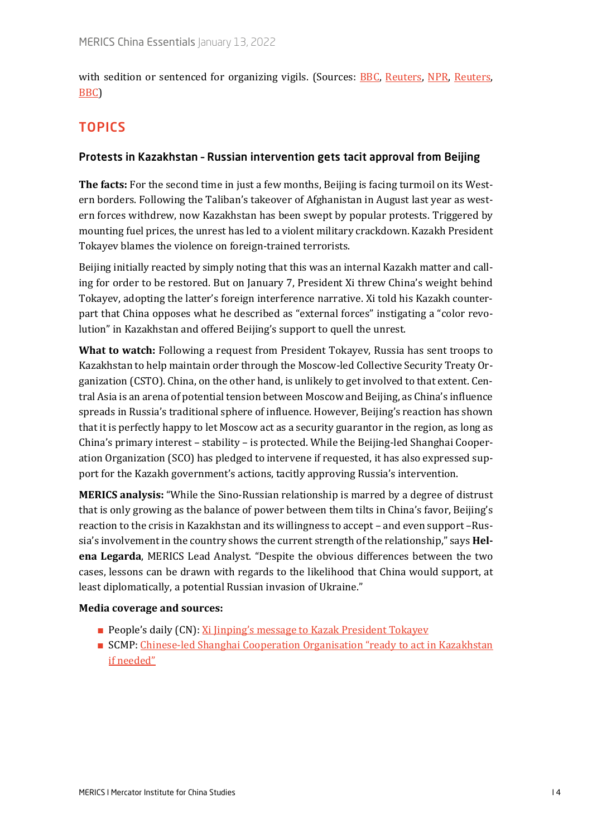with sedition or sentenced for organizing vigils. (Sources: [BBC,](https://www.bbc.com/news/world-asia-59807734) [Reuters,](https://www.reuters.com/world/asia-pacific/two-more-tiananmen-monuments-removed-hong-kong-university-campuses-2021-12-24/) [NPR,](https://www.npr.org/2021/12/23/1067163101/hong-kong-university-removes-tiananmen-massacre-statue?t=1641980664392) Reuters, [BBC\)](https://www.bbc.com/news/world-asia-china-59864810)

# <span id="page-3-0"></span>**TOPICS**

#### <span id="page-3-1"></span>Protests in Kazakhstan – Russian intervention gets tacit approval from Beijing

**The facts:** For the second time in just a few months, Beijing is facing turmoil on its Western borders. Following the Taliban's takeover of Afghanistan in August last year as western forces withdrew, now Kazakhstan has been swept by popular protests. Triggered by mounting fuel prices, the unrest has led to a violent military crackdown. Kazakh President Tokayev blames the violence on foreign-trained terrorists.

Beijing initially reacted by simply noting that this was an internal Kazakh matter and calling for order to be restored. But on January 7, President Xi threw China's weight behind Tokayev, adopting the latter's foreign interference narrative. Xi told his Kazakh counterpart that China opposes what he described as "external forces" instigating a "color revolution" in Kazakhstan and offered Beijing's support to quell the unrest.

**What to watch:** Following a request from President Tokayev, Russia has sent troops to Kazakhstan to help maintain order through the Moscow-led Collective Security Treaty Organization (CSTO). China, on the other hand, is unlikely to get involved to that extent. Central Asia is an arena of potential tension between Moscow and Beijing, as China's influence spreads in Russia's traditional sphere of influence. However, Beijing's reaction has shown that it is perfectly happy to let Moscow act as a security guarantor in the region, as long as China's primary interest – stability – is protected. While the Beijing-led Shanghai Cooperation Organization (SCO) has pledged to intervene if requested, it has also expressed support for the Kazakh government's actions, tacitly approving Russia's intervention.

**MERICS analysis:** "While the Sino-Russian relationship is marred by a degree of distrust that is only growing as the balance of power between them tilts in China's favor, Beijing's reaction to the crisis in Kazakhstan and its willingness to accept – and even support –Russia's involvement in the country shows the current strength of the relationship," says **Helena Legarda**, MERICS Lead Analyst. "Despite the obvious differences between the two cases, lessons can be drawn with regards to the likelihood that China would support, at least diplomatically, a potential Russian invasion of Ukraine."

#### **Media coverage and sources:**

- People's daily (CN)[: Xi Jinping's message to Kazak President Tokayev](http://politics.people.com.cn/n1/2022/0108/c1024-32326649.html)
- SCMP: Chinese-led Shanghai Cooperation Organisation "ready to act in Kazakhstan [if needed"](https://www.scmp.com/news/china/diplomacy/article/3162664/chinese-led-shanghai-cooperation-organisation-ready-act)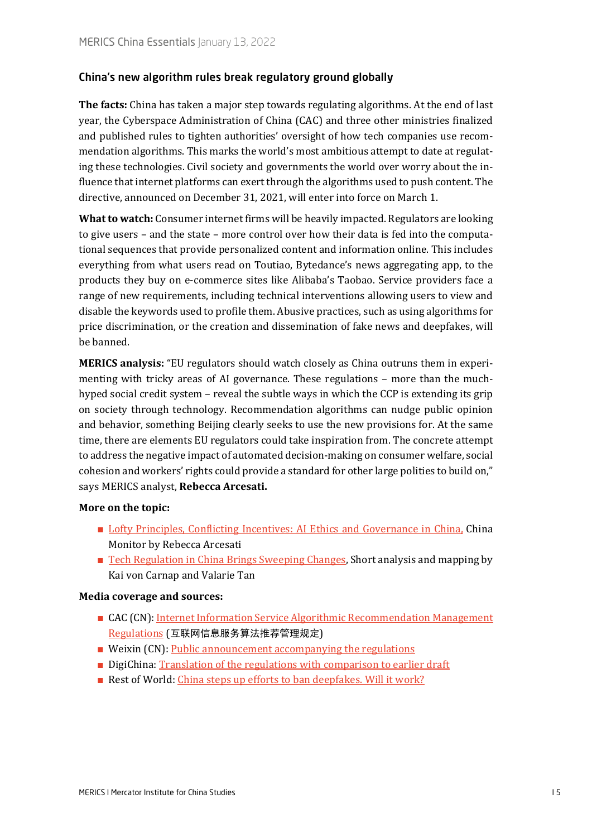#### <span id="page-4-0"></span>China's new algorithm rules break regulatory ground globally

**The facts:** China has taken a major step towards regulating algorithms. At the end of last year, the Cyberspace Administration of China (CAC) and three other ministries finalized and published rules to tighten authorities' oversight of how tech companies use recommendation algorithms. This marks the world's most ambitious attempt to date at regulating these technologies. Civil society and governments the world over worry about the influence that internet platforms can exert through the algorithms used to push content. The directive, announced on December 31, 2021, will enter into force on March 1.

**What to watch:** Consumer internet firms will be heavily impacted. Regulators are looking to give users – and the state – more control over how their data is fed into the computational sequences that provide personalized content and information online. This includes everything from what users read on Toutiao, Bytedance's news aggregating app, to the products they buy on e-commerce sites like Alibaba's Taobao. Service providers face a range of new requirements, including technical interventions allowing users to view and disable the keywords used to profile them. Abusive practices, such as using algorithms for price discrimination, or the creation and dissemination of fake news and deepfakes, will be banned.

**MERICS analysis:** "EU regulators should watch closely as China outruns them in experimenting with tricky areas of AI governance. These regulations – more than the muchhyped social credit system – reveal the subtle ways in which the CCP is extending its grip on society through technology. Recommendation algorithms can nudge public opinion and behavior, something Beijing clearly seeks to use the new provisions for. At the same time, there are elements EU regulators could take inspiration from. The concrete attempt to address the negative impact of automated decision-making on consumer welfare, social cohesion and workers' rights could provide a standard for other large polities to build on," says MERICS analyst, **Rebecca Arcesati.**

#### **More on the topic:**

- [Lofty Principles, Conflicting Incentives: AI Ethics and Governance in China,](https://merics.org/en/report/lofty-principles-conflicting-incentives-ai-ethics-and-governance-china) China Monitor by Rebecca Arcesati
- [Tech Regulation in China Brings Sweeping Changes,](https://merics.org/en/short-analysis/tech-regulation-china-brings-sweeping-changes) Short analysis and mapping by Kai von Carnap and Valarie Tan

#### **Media coverage and sources:**

- CAC (CN): Internet Information Service Algorithmic Recommendation Management [Regulations](https://archive.is/zMSfU) (互联网信息服务算法推荐管理规定)
- Weixin (CN): [Public announcement accompanying the regulations](https://mp.weixin.qq.com/s/T4I_1XoH5lEf1JtV3s81sg)
- DigiChina: [Translation of the regulations with comparison to earlier draft](https://digichina.stanford.edu/work/translation-internet-information-service-algorithmic-recommendation-management-provisions-effective-march-1-2022/)
- Rest of World: [China steps up efforts to ban deepfakes. Will it work?](https://restofworld.org/2022/china-steps-up-efforts-to-ban-deepfakes/)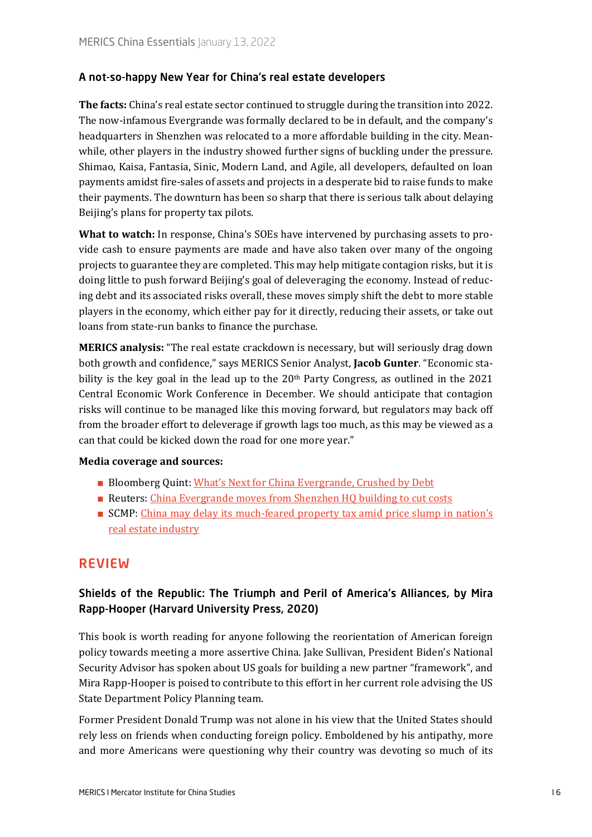#### <span id="page-5-0"></span>A not-so-happy New Year for China's real estate developers

**The facts:** China's real estate sector continued to struggle during the transition into 2022. The now-infamous Evergrande was formally declared to be in default, and the company's headquarters in Shenzhen was relocated to a more affordable building in the city. Meanwhile, other players in the industry showed further signs of buckling under the pressure. Shimao, Kaisa, Fantasia, Sinic, Modern Land, and Agile, all developers, defaulted on loan payments amidst fire-sales of assets and projects in a desperate bid to raise funds to make their payments. The downturn has been so sharp that there is serious talk about delaying Beijing's plans for property tax pilots.

**What to watch:** In response, China's SOEs have intervened by purchasing assets to provide cash to ensure payments are made and have also taken over many of the ongoing projects to guarantee they are completed. This may help mitigate contagion risks, but it is doing little to push forward Beijing's goal of deleveraging the economy. Instead of reducing debt and its associated risks overall, these moves simply shift the debt to more stable players in the economy, which either pay for it directly, reducing their assets, or take out loans from state-run banks to finance the purchase.

**MERICS analysis:** "The real estate crackdown is necessary, but will seriously drag down both growth and confidence," says MERICS Senior Analyst, **Jacob Gunter**. "Economic stability is the key goal in the lead up to the  $20<sup>th</sup>$  Party Congress, as outlined in the  $2021$ Central Economic Work Conference in December. We should anticipate that contagion risks will continue to be managed like this moving forward, but regulators may back off from the broader effort to deleverage if growth lags too much, as this may be viewed as a can that could be kicked down the road for one more year."

#### **Media coverage and sources:**

- Bloomberg Quint: [What's Next for China Evergrande, Crushed by Debt](https://www.bloombergquint.com/business/what-is-china-evergrande-and-why-is-it-in-trouble-quicktake)
- Reuters: [China Evergrande moves from Shenzhen HQ building to cut costs](https://www.reuters.com/business/china-evergrande-moves-headquarters-shenzhen-guangzhou-report-2022-01-10/)
- SCMP: China may delay its much-feared property tax amid price slump in nation's [real estate industry](https://www.scmp.com/business/banking-finance/article/3162321/china-may-delay-its-much-feared-property-tax-amid-price)

# <span id="page-5-1"></span>REVIEW

## <span id="page-5-2"></span>Shields of the Republic: The Triumph and Peril of America's Alliances, by Mira Rapp-Hooper (Harvard University Press, 2020)

This book is worth reading for anyone following the reorientation of American foreign policy towards meeting a more assertive China. Jake Sullivan, President Biden's National Security Advisor has spoken about US goals for building a new partner "framework", and Mira Rapp-Hooper is poised to contribute to this effort in her current role advising the US State Department Policy Planning team.

Former President Donald Trump was not alone in his view that the United States should rely less on friends when conducting foreign policy. Emboldened by his antipathy, more and more Americans were questioning why their country was devoting so much of its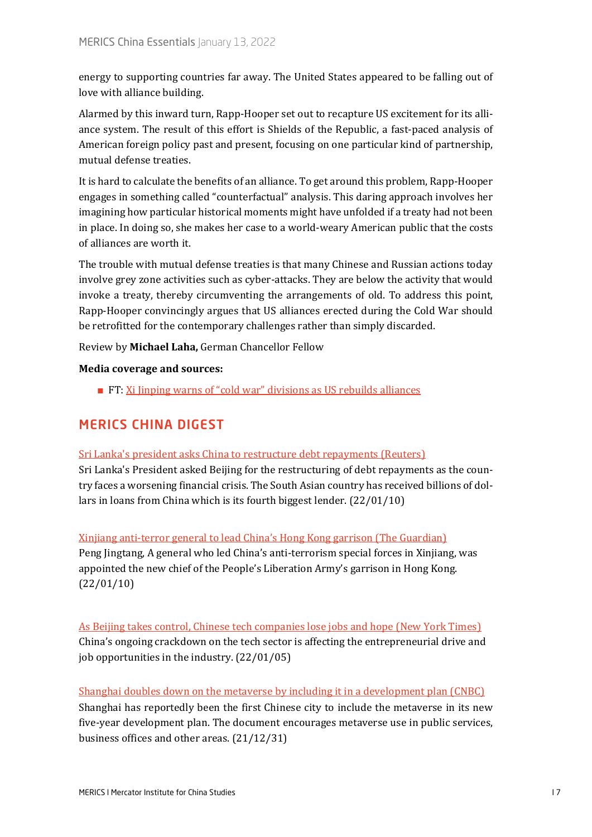energy to supporting countries far away. The United States appeared to be falling out of love with alliance building.

Alarmed by this inward turn, Rapp-Hooper set out to recapture US excitement for its alliance system. The result of this effort is Shields of the Republic, a fast-paced analysis of American foreign policy past and present, focusing on one particular kind of partnership, mutual defense treaties.

It is hard to calculate the benefits of an alliance. To get around this problem, Rapp-Hooper engages in something called "counterfactual" analysis. This daring approach involves her imagining how particular historical moments might have unfolded if a treaty had not been in place. In doing so, she makes her case to a world-weary American public that the costs of alliances are worth it.

The trouble with mutual defense treaties is that many Chinese and Russian actions today involve grey zone activities such as cyber-attacks. They are below the activity that would invoke a treaty, thereby circumventing the arrangements of old. To address this point, Rapp-Hooper convincingly argues that US alliances erected during the Cold War should be retrofitted for the contemporary challenges rather than simply discarded.

Review by **Michael Laha,** German Chancellor Fellow

**Media coverage and sources:**

■ FT: [Xi Jinping warns of "cold war" divisions as US rebuilds alliances](https://www.ft.com/content/4752af06-35c7-4619-9b95-91c429c1e1be)

# <span id="page-6-0"></span>MERICS CHINA DIGEST

#### Sri Lanka['s president asks China to restructure debt repayments \(Reuters\)](https://www.reuters.com/markets/rates-bonds/sri-lankas-president-asks-china-restructure-debt-repayments-2022-01-09/)

Sri Lanka's President asked Beijing for the restructuring of debt repayments as the country faces a worsening financial crisis. The South Asian country has received billions of dollars in loans from China which is its fourth biggest lender. (22/01/10)

#### [Xinjiang anti-terror general to lead China's Hong Kong garrison \(The Guardian\)](https://www.theguardian.com/world/2022/jan/10/xinjiang-anti-terror-general-to-lead-china-hong-kong-garrison)

Peng Jingtang, A general who led China's anti-terrorism special forces in Xinjiang, was appointed the new chief of the People's Liberation Army's garrison in Hong Kong. (22/01/10)

[As Beijing takes control, Chinese tech companies lose jobs and hope](https://www.nytimes.com/2022/01/05/technology/china-tech-internet-crackdown-layoffs.html) (New York Times) China's ongoing crackdown on the tech sector is affecting the entrepreneurial drive and job opportunities in the industry. (22/01/05)

[Shanghai doubles down on the metaverse by including it in a development plan \(CNBC\)](https://www.cnbc.com/2021/12/31/shanghai-releases-five-year-plans-for-metaverse-development.html) Shanghai has reportedly been the first Chinese city to include the metaverse in its new five-year development plan. The document encourages metaverse use in public services, business offices and other areas. (21/12/31)